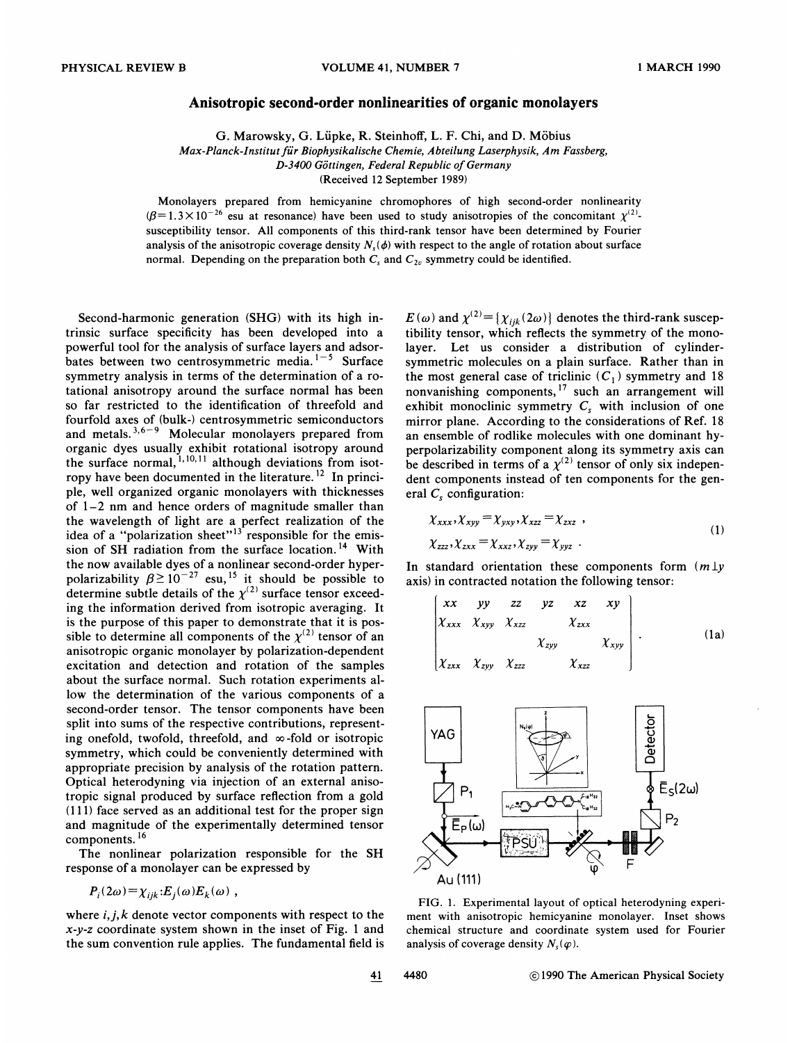## Anisotropic second-order nonlinearities of organic monolayers

G. Marowsky, G. Lupke, R. Steinhoff, L. F. Chi, and D. Mobius

Max-Planck-Institut für Biophysikalische Chemie, Abteilung Laserphysik, Am Fassberg, D-3400 Göttingen, Federal Republic of Germany

(Received 12 September 1989)

Monolayers prepared from hemicyanine chromophores of high second-order nonlinearity =  $1.3 \times 10^{-26}$  esu at resonance) have been used to study anisotropies of the concomitant  $\chi^{(2)}$ .  $(\beta=1.3\times10^{-26}$  esu at resonance) have been used to study anisotropies of the concomitant  $\chi^{(2)}$ . susceptibility tensor. All components of this third-rank tensor have been determined by Fourier analysis of the anisotropic coverage density  $N_s(\phi)$  with respect to the angle of rotation about surface normal. Depending on the preparation both  $C_s$  and  $C_{2v}$  symmetry could be identified.

Second-harmonic generation (SHG} with its high intrinsic surface specificity has been developed into a powerful tool for the analysis of surface layers and adsorbates between two centrosymmetric media.<sup>1-5</sup> Surface symmetry analysis in terms of the determination of a rotational anisotropy around the surface normal has been so far restricted to the identification of threefold and fourfold axes of (bulk-) centrosymmetric semiconductors and metals.  $3,6-9$  Molecular monolayers prepared from organic dyes usually exhibit rotational isotropy around the surface normal,  $^{1,10,11}$  although deviations from isot-[olecu]<br>y exhi<br>1, 10, 11 ropy have been documented in the literature.<sup>12</sup> In principle, well organized organic monolayers with thicknesses of 1-2 nm and hence orders of magnitude smaller than the wavelength of light are a perfect realization of the idea of a "polarization sheet"<sup>13</sup> responsible for the emission of SH radiation from the surface location.<sup>14</sup> With the now available dyes of a nonlinear second-order hyperpolarizability  $\beta \ge 10^{-27}$  esu, <sup>15</sup> it should be possible to determine subtle details of the  $\chi^{(2)}$  surface tensor exceed ing the information derived from isotropic averaging. It is the purpose of this paper to demonstrate that it is possible to determine all components of the  $\chi^{(2)}$  tensor of an anisotropic organic monolayer by polarization-dependent excitation and detection and rotation of the samples about the surface normal. Such rotation experiments allow the determination of the various components of a second-order tensor. The tensor components have been split into sums of the respective contributions, representing onefold, twofold, threefold, and  $\infty$ -fold or isotropic symmetry, which could be conveniently determined with appropriate precision by analysis of the rotation pattern. Optical heterodyning via injection of an external anisotropic signal produced by surface reflection from a gold  $(111)$  face served as an additional test for the proper sign and magnitude of the experimentally determined tensor components.<sup>16</sup>

The nonlinear polarization responsible for the SH response of a monolayer can be expressed by

$$
P_i(2\omega) = \chi_{ijk} : E_j(\omega) E_k(\omega) ,
$$

where  $i, j, k$  denote vector components with respect to the x-y-z coordinate system shown in the inset of Fig. <sup>1</sup> and the sum convention rule applies. The fundamental field is

 $E(\omega)$  and  $\chi^{(2)}{=}\lbrace\chi_{ijk}(2\omega)\rbrace$  denotes the third-rank suscep tibility tensor, which reflects the symmetry of the monolayer. Let us consider a distribution of cylindersymmetric molecules on a plain surface. Rather than in the most general case of triclinic  $(C_1)$  symmetry and 18 nonvanishing components,<sup>17</sup> such an arrangement wil exhibit monoclinic symmetry  $C_s$  with inclusion of one mirror plane. According to the considerations of Ref. 18 an ensemble of rodlike molecules with one dominant hyperpolarizability component along its symmetry axis can be described in terms of a  $\chi^{(2)}$  tensor of only six indeper dent components instead of ten components for the general  $C<sub>s</sub>$  configuration:

$$
\chi_{xxx}, \chi_{xyy} = \chi_{yxy}, \chi_{xzz} = \chi_{zxz} ,
$$
  
\n
$$
\chi_{zzz}, \chi_{zxx} = \chi_{xxz}, \chi_{zyy} = \chi_{yyz} .
$$
\n(1)

In standard orientation these components form  $(m \bot y)$ axis) in contracted notation the following tensor:

$$
\begin{bmatrix} xx & yy & zz & yz & xz & xy \ \chi_{xxx} & \chi_{xyy} & \chi_{xzz} & \chi_{zxx} & \chi_{xyy} \\ x_{zxx} & \chi_{zyy} & \chi_{zzz} & \chi_{xzz} & \chi_{xzz} \end{bmatrix}.
$$
 (1a)



FIG. 1. Experimental layout of optical heterodyning experiment with anisotropic hemicyanine monolayer. Inset shows chemical structure and coordinate system used for Fourier analysis of coverage density  $N_s(\varphi)$ .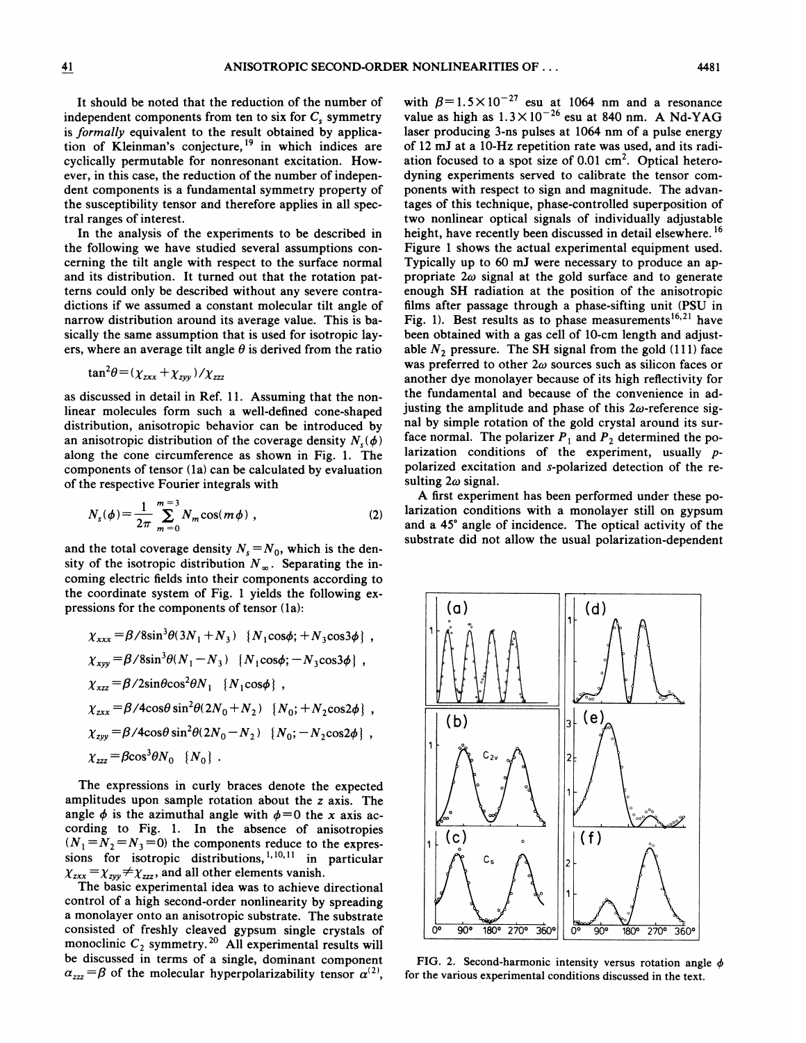It should be noted that the reduction of the number of independent components from ten to six for  $C_s$  symmetry is formally equivalent to the result obtained by application of Kleinman's conjecture,<sup>19</sup> in which indices are cyclically permutable for nonresonant excitation. However, in this case, the reduction of the number of independent components is a fundamental symmetry property of the susceptibility tensor and therefore applies in all spectral ranges of interest.

In the analysis of the experiments to be described in the following we have studied several assumptions concerning the tilt angle with respect to the surface normal and its distribution. It turned out that the rotation patterns could only be described without any severe contradictions if we assumed a constant molecular tilt angle of narrow distribution around its average value. This is basically the same assumption that is used for isotropic layers, where an average tilt angle  $\theta$  is derived from the ratio

$$
\tan^2\theta = (\chi_{zxx} + \chi_{zyy})/\chi_{zzz}
$$

as discussed in detail in Ref. 11. Assuming that the nonlinear molecules form such a well-defined cone-shaped distribution, anisotropic behavior can be introduced by an anisotropic distribution of the coverage density  $N_s(\phi)$ along the cone circumference as shown in Fig. 1. The components of tensor (1a) can be calculated by evaluation of the respective Fourier integrals with

$$
N_s(\phi) = \frac{1}{2\pi} \sum_{m=0}^{m=3} N_m \cos(m\phi) , \qquad (2)
$$

and the total coverage density  $N_s = N_0$ , which is the density of the isotropic distribution  $N_{\infty}$ . Separating the incoming electric fields into their components according to the coordinate system of Fig. 1 yields the following expressions for the components of tensor (1a):

$$
\chi_{xxx} = \beta/8\sin^3\theta(3N_1 + N_3) \{N_1\cos\phi; +N_3\cos3\phi\},
$$
  
\n
$$
\chi_{xyy} = \beta/8\sin^3\theta(N_1 - N_3) \{N_1\cos\phi; -N_3\cos3\phi\},
$$
  
\n
$$
\chi_{xzz} = \beta/2\sin\theta\cos^2\theta N_1 \{N_1\cos\phi\},
$$
  
\n
$$
\chi_{zxx} = \beta/4\cos\theta\sin^2\theta(2N_0 + N_2) \{N_0; +N_2\cos2\phi\},
$$
  
\n
$$
\chi_{zyy} = \beta/4\cos\theta\sin^2\theta(2N_0 - N_2) \{N_0; -N_2\cos2\phi\},
$$
  
\n
$$
\chi_{zzz} = \beta\cos^3\theta N_0 \{N_0\}.
$$

The expressions in curly braces denote the expected amplitudes upon sample rotation about the z axis. The angle  $\phi$  is the azimuthal angle with  $\phi = 0$  the x axis according to Fig. 1. In the absence of anisotropies  $(N_1 = N_2 = N_3 = 0)$  the components reduce to the expressions for isotropic distributions, <sup>1, 10, 11</sup> in particular  $\chi_{zxx} = \chi_{zyy} \neq \chi_{zzz}$ , and all other elements vanish.

The basic experimental idea was to achieve directional control of a high second-order nonlinearity by spreading a monolayer onto an anisotropic substrate. The substrate consisted of freshly cleaved gypsum single crystals of monoclinic  $C_2$  symmetry.<sup>20</sup> All experimental results will be discussed in terms of a single, dominant component  $\alpha_{zzz} = \beta$  of the molecular hyperpolarizability tensor  $\alpha^{(2)}$ ,

with  $\beta = 1.5 \times 10^{-27}$  esu at 1064 nm and a resonance<br>value as high as  $1.3 \times 10^{-26}$  esu at 840 nm. A Nd-YAG laser producing 3-ns pulses at 1064 nm of a pulse energy of 12 mJ at a 10-Hz repetition rate was used, and its radiation focused to a spot size of 0.01 cm<sup>2</sup>. Optical heterodyning experiments served to calibrate the tensor components with respect to sign and magnitude. The advantages of this technique, phase-controlled superposition of two nonlinear optical signals of individually adjustable height, have recently been discussed in detail elsewhere.<sup>16</sup> Figure 1 shows the actual experimental equipment used. Typically up to 60 mJ were necessary to produce an appropriate  $2\omega$  signal at the gold surface and to generate enough SH radiation at the position of the anisotropic films after passage through a phase-sifting unit (PSU in Fig. 1). Best results as to phase measurements  $16,21$  have been obtained with a gas cell of 10-cm length and adjustable  $N_2$  pressure. The SH signal from the gold (111) face was preferred to other  $2\omega$  sources such as silicon faces or another dye monolayer because of its high reflectivity for the fundamental and because of the convenience in adjusting the amplitude and phase of this  $2\omega$ -reference signal by simple rotation of the gold crystal around its surface normal. The polarizer  $P_1$  and  $P_2$  determined the polarization conditions of the experiment, usually  $p$ polarized excitation and s-polarized detection of the resulting  $2\omega$  signal.

A first experiment has been performed under these polarization conditions with a monolayer still on gypsum and a 45° angle of incidence. The optical activity of the substrate did not allow the usual polarization-dependent



FIG. 2. Second-harmonic intensity versus rotation angle  $\phi$ for the various experimental conditions discussed in the text.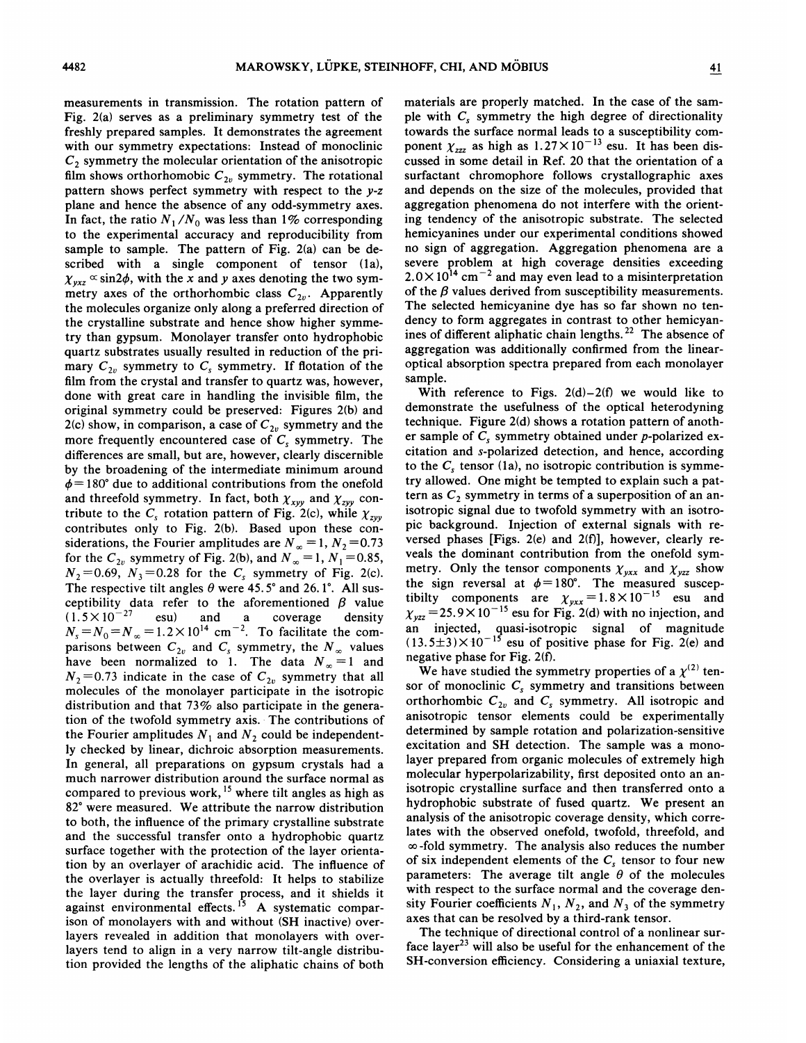measurements in transmission. The rotation pattern of Fig. 2(a) serves as a preliminary symmetry test of the freshly prepared samples. It demonstrates the agreement with our symmetry expectations: Instead of monoclinic  $C<sub>2</sub>$  symmetry the molecular orientation of the anisotropic film shows orthorhomobic  $C_{2v}$  symmetry. The rotational pattern shows perfect symmetry with respect to the y-z plane and hence the absence of any odd-symmetry axes. In fact, the ratio  $N_1/N_0$  was less than 1% corresponding to the experimental accuracy and reproducibility from sample to sample. The pattern of Fig. 2(a) can be described with a single component of tensor (1a),  $\chi_{yxz} \propto \sin 2\phi$ , with the x and y axes denoting the two symmetry axes of the orthorhombic class  $C_{2v}$ . Apparently the molecules organize only along a preferred direction of the crystalline substrate and hence show higher symmetry than gypsum. Monolayer transfer onto hydrophobic quartz substrates usually resulted in reduction of the primary  $C_{2v}$  symmetry to  $C_s$  symmetry. If flotation of the film from the crystal and transfer to quartz was, however, done with great care in handling the invisible film, the original symmetry could be preserved: Figures 2(b) and 2(c) show, in comparison, a case of  $C_{2v}$  symmetry and the more frequently encountered case of  $C_s$  symmetry. The differences are small, but are, however, clearly discernible by the broadening of the intermediate minimum around  $\phi$  = 180° due to additional contributions from the onefold and threefold symmetry. In fact, both  $\chi_{xyy}$  and  $\chi_{zyy}$  contribute to the  $C_s$  rotation pattern of Fig. 2(c), while  $\chi_{zvv}$ contributes only to Fig. 2(b). Based upon these considerations, the Fourier amplitudes are  $N_{\infty} = 1, N_2 = 0.73$ for the  $C_{2v}$  symmetry of Fig. 2(b), and  $N_{\infty} = 1, N_1 = 0.85$ ,  $N_2$ =0.69,  $N_3$ =0.28 for the C<sub>s</sub> symmetry of Fig. 2(c). The respective tilt angles  $\theta$  were 45.5° and 26.1°. All susceptibility data refer to the aforementioned  $\beta$  value (1.5 × 10<sup>-27</sup> esu) and a coverage density  $(1.5 \times 10^{-27}$  esu) and a coverage densit  $N_s = N_0 = N_\infty = 1.2 \times 10^{14}$  cm<sup>-2</sup>. To facilitate the comparisons between  $C_{2v}$  and  $C_s$  symmetry, the  $N_\infty$  values<br>have been normalized to 1. The data  $N_\infty =1$  and  $N_2$ =0.73 indicate in the case of  $C_{2v}$  symmetry that all molecules of the monolayer participate in the isotropic distribution and that 73% also participate in the generation of the twofold symmetry axis. The contributions of the Fourier amplitudes  $N_1$  and  $N_2$  could be independently checked by linear, dichroic absorption measurements. In general, all preparations on gypsum crystals had a much narrower distribution around the surface normal as compared to previous work,  $15$  where tilt angles as high as 82' were measured. We attribute the narrow distribution to both, the influence of the primary crystalline substrate and the successful transfer onto a hydrophobic quartz surface together with the protection of the layer orientation by an overlayer of arachidic acid. The influence of the overlayer is actually threefold: It helps to stabilize the layer during the transfer process, and it shields it against environmental effects.<sup>15</sup> A systematic comparison of monolayers with and without (SH inactive) overlayers revealed in addition that monolayers with overlayers tend to align in a very narrow tilt-angle distribution provided the lengths of the aliphatic chains of both

materials are properly matched. In the case of the sample with  $C_s$  symmetry the high degree of directionality towards the surface normal leads to a susceptibility component  $\chi_{zzz}$  as high as  $1.27 \times 10^{-13}$  esu. It has been discussed in some detail in Ref. 20 that the orientation of a surfactant chromophore follows crystallographic axes and depends on the size of the molecules, provided that aggregation phenomena do not interfere with the orienting tendency of the anisotropic substrate. The selected hemicyanines under our experimental conditions showed no sign of aggregation. Aggregation phenomena are a severe problem at high coverage densities exceeding  $2.0 \times 10^{14}$  cm<sup>-2</sup> and may even lead to a misinterpretation of the  $\beta$  values derived from susceptibility measurements. The selected hemicyanine dye has so far shown no tendency to form aggregates in contrast to other hemicyanines of different aliphatic chain lengths.<sup>22</sup> The absence of aggregation was additionally confirmed from the linearoptical absorption spectra prepared from each monolayer sample.

With reference to Figs.  $2(d) - 2(f)$  we would like to demonstrate the usefulness of the optical heterodyning technique. Figure 2(d) shows a rotation pattern of another sample of  $C_s$  symmetry obtained under p-polarized excitation and s-polarized detection, and hence, according to the  $C<sub>s</sub>$  tensor (1a), no isotropic contribution is symmetry allowed. One might be tempted to explain such a pattern as  $C_2$  symmetry in terms of a superposition of an anisotropic signal due to twofold symmetry with an isotropic background. Injection of external signals with reversed phases [Figs. 2(e) and 2(f)], however, clearly reveals the dominant contribution from the onefold symmetry. Only the tensor components  $\chi_{vxx}$  and  $\chi_{vzz}$  show the sign reversal at  $\phi = 180^\circ$ . The measured suscep-<br>tibilty components are  $\chi_{yxx} = 1.8 \times 10^{-15}$  esu and<br> $\chi_{yzz} = 25.9 \times 10^{-15}$  esu for Fig. 2(d) with no injection, and an injected, quasi-isotropic signal of magnitud  $(13.5\pm3)\times10^{-15}$  esu of positive phase for Fig. 2(e) and negative phase for Fig. 2(f).

We have studied the symmetry properties of a  $\chi^{(2)}$  tensor of monoclinic  $C_s$  symmetry and transitions between orthorhombic  $C_{2v}$  and  $C_s$  symmetry. All isotropic and anisotropic tensor elements could be experimentally determined by sample rotation and polarization-sensitive excitation and SH detection. The sample was a monolayer prepared from organic molecules of extremely high molecular hyperpolarizability, first deposited onto an anisotropic crystalline surface and then transferred onto a hydrophobic substrate of fused quartz. We present an analysis of the anisotropic coverage density, which correlates with the observed onefold, twofold, threefold, and  $\infty$ -fold symmetry. The analysis also reduces the number of six independent elements of the  $C_s$  tensor to four new parameters: The average tilt angle  $\theta$  of the molecules with respect to the surface normal and the coverage density Fourier coefficients  $N_1$ ,  $N_2$ , and  $N_3$  of the symmetry axes that can be resolved by a third-rank tensor.

The technique of directional control of a nonlinear surface layer<sup>23</sup> will also be useful for the enhancement of the SH-conversion efficiency. Considering a uniaxial texture,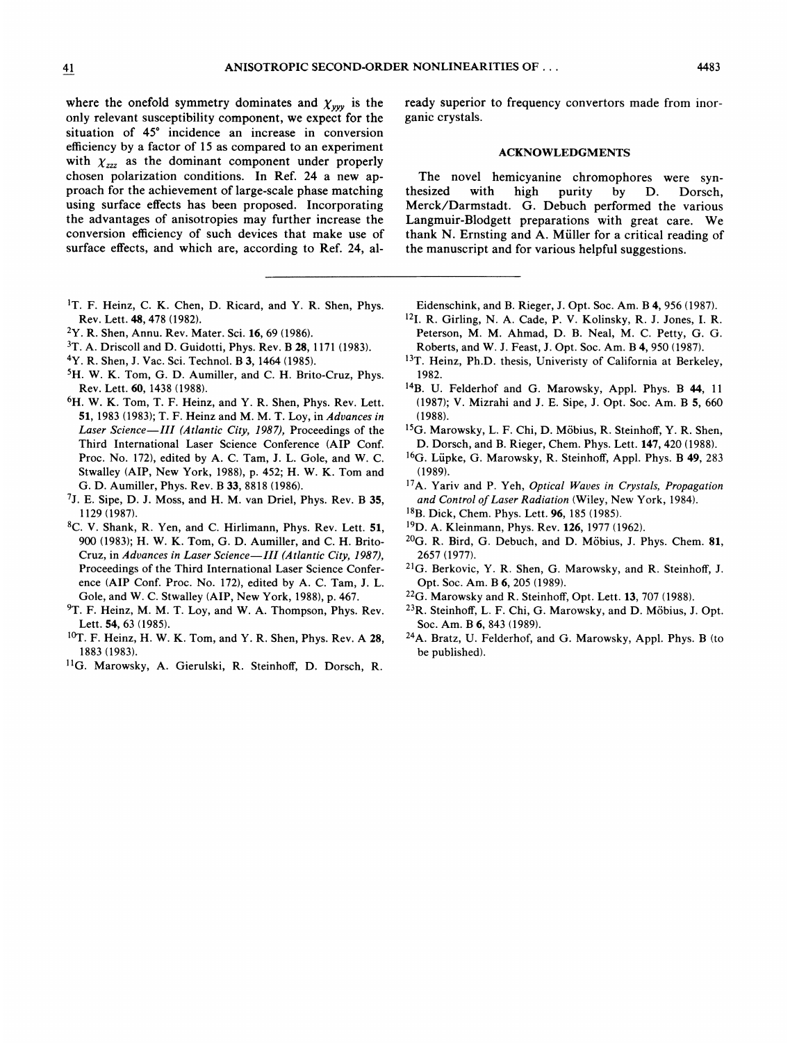where the onefold symmetry dominates and  $\chi_{yyy}$  is the only relevant susceptibility component, we expect for the situation of 45' incidence an increase in conversion efficiency by a factor of 15 as compared to an experiment with  $\chi_{zzz}$  as the dominant component under properly chosen polarization conditions. In Ref. 24 a new approach for the achievement of large-scale phase matching using surface effects has been proposed. Incorporating the advantages of anisotropies may further increase the conversion efficiency of such devices that make use of surface effects, and which are, according to Ref. 24, al-

- <sup>1</sup>T. F. Heinz, C. K. Chen, D. Ricard, and Y. R. Shen, Phys. Rev. Lett. 48, 478 (1982).
- Y. R. Shen, Annu. Rev. Mater. Sci. 16, 69 (1986).
- <sup>3</sup>T. A. Driscoll and D. Guidotti, Phys. Rev. B 28, 1171 (1983).
- <sup>4</sup>Y. R. Shen, J. Vac. Sci. Technol. B 3, 1464 (1985).
- <sup>5</sup>H. W. K. Tom, G. D. Aumiller, and C. H. Brito-Cruz, Phys. Rev. Lett. 60, 1438 (1988).
- <sup>6</sup>H. W. K. Tom, T. F. Heinz, and Y. R. Shen, Phys. Rev. Lett. 51, 1983 (1983); T. F. Heinz and M. M. T. Loy, in Advances in Laser Science—III (Atlantic City, 1987), Proceedings of the Third International Laser Science Conference (AIP Conf. Proc. No. 172), edited by A. C. Tam, J. L. Gole, and W. C. Stwalley (AIP, New York, 1988), p. 452; H. W. K. Tom and G. D. Aumiller, Phys. Rev. B 33, 8818 (1986).
- 7J. E. Sipe, D. J. Moss, and H. M. van Driel, Phys. Rev. B 35, 1129 (1987).
- C. V. Shank, R. Yen, and C. Hirlimann, Phys. Rev. Lett. 51, 900 (1983); H. W. K. Tom, G. D. Aumiller, and C. H. Brito-Cruz, in Advances in Laser Science-III (Atlantic City, 1987), Proceedings of the Third International Laser Science Conference (AIP Conf. Proc. No. 172), edited by A. C. Tam, J. L. Gole, and W. C. Stwalley (AIP, New York, 1988), p. 467.
- <sup>9</sup>T. F. Heinz, M. M. T. Loy, and W. A. Thompson, Phys. Rev. Lett. 54, 63 (1985).
- ${}^{10}$ T. F. Heinz, H. W. K. Tom, and Y. R. Shen, Phys. Rev. A 28, 1883 (1983).
- <sup>11</sup>G. Marowsky, A. Gierulski, R. Steinhoff, D. Dorsch, R.

ready superior to frequency convertors made from inorganic crystals.

## ACKNOWLEDGMENTS

The novel hemicyanine chromophores were syn-<br>thesized with high purity by D. Dorsch. purity by D. Dorsch, Merck/Darmstadt. G. Debuch performed the various Langmuir-Blodgett preparations with great care. We thank N. Ernsting and A. Müller for a critical reading of the manuscript and for various helpful suggestions.

- Eidenschink, and B.Rieger, J. Opt. Soc. Am. B4, 956 (1987).
- <sup>12</sup>I. R. Girling, N. A. Cade, P. V. Kolinsky, R. J. Jones, I. R. Peterson, M. M. Ahmad, D. B. Neal, M. C. Petty, G. G. Roberts, and W. J. Feast, J. Opt. Soc. Am. B4, 950 (1987).
- 13T. Heinz, Ph.D. thesis, Univeristy of California at Berkeley, 1982.
- <sup>14</sup>B. U. Felderhof and G. Marowsky, Appl. Phys. B 44, 11 (1987); V. Mizrahi and J. E. Sipe, J. Opt. Soc. Am. B 5, 660 (1988).
- <sup>15</sup>G. Marowsky, L. F. Chi, D. Möbius, R. Steinhoff, Y. R. Shen, D. Dorsch, and B.Rieger, Chem. Phys. Lett. 147, 420 (1988).
- <sup>16</sup>G. Lüpke, G. Marowsky, R. Steinhoff, Appl. Phys. B 49, 283 (1989).
- <sup>17</sup>A. Yariv and P. Yeh, Optical Waves in Crystals, Propagatic and Control of Laser Radiation (Wiley, New York, 1984).
- 18B. Dick, Chem. Phys. Lett. 96, 185 (1985).
- <sup>19</sup>D. A. Kleinmann, Phys. Rev. 126, 1977 (1962).
- <sup>20</sup>G. R. Bird, G. Debuch, and D. Möbius, J. Phys. Chem. 81, 2657 (1977).
- <sup>21</sup>G. Berkovic, Y. R. Shen, G. Marowsky, and R. Steinhoff, J. Opt. Soc. Am. B 6, 205 (1989).
- <sup>22</sup>G. Marowsky and R. Steinhoff, Opt. Lett. 13, 707 (1988).
- <sup>23</sup>R. Steinhoff, L. F. Chi, G. Marowsky, and D. Möbius, J. Opt. Soc. Am. B 6, 843 (1989).
- A. Bratz, U. Felderhof, and G. Marowsky, Appl. Phys. B (to be published).